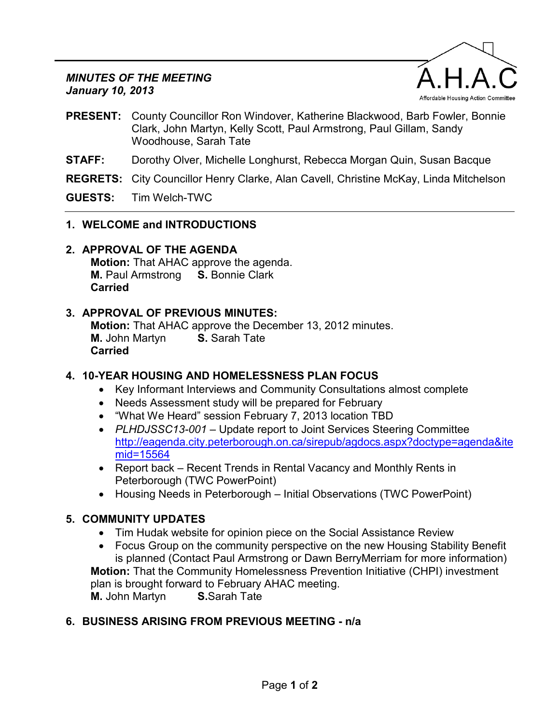#### *MINUTES OF THE MEETING January 10, 2013*



- **PRESENT:** County Councillor Ron Windover, Katherine Blackwood, Barb Fowler, Bonnie Clark, John Martyn, Kelly Scott, Paul Armstrong, Paul Gillam, Sandy Woodhouse, Sarah Tate
- **STAFF:** Dorothy Olver, Michelle Longhurst, Rebecca Morgan Quin, Susan Bacque
- **REGRETS:** City Councillor Henry Clarke, Alan Cavell, Christine McKay, Linda Mitchelson

**GUESTS:** Tim Welch-TWC

- **1. WELCOME and INTRODUCTIONS**
- **2. APPROVAL OF THE AGENDA**

**Motion:** That AHAC approve the agenda. **M.** Paul Armstrong **S.** Bonnie Clark **Carried**

#### **3. APPROVAL OF PREVIOUS MINUTES:**

**Motion:** That AHAC approve the December 13, 2012 minutes. **M.** John Martyn **S.** Sarah Tate **Carried**

# **4. 10-YEAR HOUSING AND HOMELESSNESS PLAN FOCUS**

- Key Informant Interviews and Community Consultations almost complete
- Needs Assessment study will be prepared for February
- "What We Heard" session February 7, 2013 location TBD
- *PLHDJSSC13-001* Update report to Joint Services Steering Committee [http://eagenda.city.peterborough.on.ca/sirepub/agdocs.aspx?doctype=agenda&ite](http://eagenda.city.peterborough.on.ca/sirepub/agdocs.aspx?doctype=agenda&itemid=15564) [mid=15564](http://eagenda.city.peterborough.on.ca/sirepub/agdocs.aspx?doctype=agenda&itemid=15564)
- Report back Recent Trends in Rental Vacancy and Monthly Rents in Peterborough (TWC PowerPoint)
- Housing Needs in Peterborough Initial Observations (TWC PowerPoint)

# **5. COMMUNITY UPDATES**

- Tim Hudak website for opinion piece on the Social Assistance Review
- Focus Group on the community perspective on the new Housing Stability Benefit is planned (Contact Paul Armstrong or Dawn BerryMerriam for more information) **Motion:** That the Community Homelessness Prevention Initiative (CHPI) investment plan is brought forward to February AHAC meeting. **M.** John Martyn **S.**Sarah Tate

# **6. BUSINESS ARISING FROM PREVIOUS MEETING - n/a**